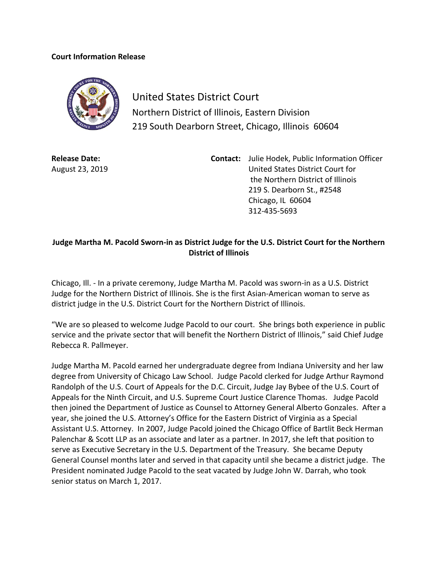## **Court Information Release**



United States District Court Northern District of Illinois, Eastern Division 219 South Dearborn Street, Chicago, Illinois 60604

**Release Date:** August 23, 2019 **Contact:** Julie Hodek, Public Information Officer United States District Court for the Northern District of Illinois 219 S. Dearborn St., #2548 Chicago, IL 60604 312-435-5693

## **Judge Martha M. Pacold Sworn-in as District Judge for the U.S. District Court for the Northern District of Illinois**

Chicago, Ill. - In a private ceremony, Judge Martha M. Pacold was sworn-in as a U.S. District Judge for the Northern District of Illinois. She is the first Asian-American woman to serve as district judge in the U.S. District Court for the Northern District of Illinois.

"We are so pleased to welcome Judge Pacold to our court. She brings both experience in public service and the private sector that will benefit the Northern District of Illinois," said Chief Judge Rebecca R. Pallmeyer.

Judge Martha M. Pacold earned her undergraduate degree from Indiana University and her law degree from University of Chicago Law School. Judge Pacold clerked for Judge Arthur Raymond Randolph of the U.S. Court of Appeals for the D.C. Circuit, Judge Jay Bybee of the U.S. Court of Appeals for the Ninth Circuit, and U.S. Supreme Court Justice Clarence Thomas. Judge Pacold then joined the Department of Justice as Counsel to Attorney General Alberto Gonzales. After a year, she joined the U.S. Attorney's Office for the Eastern District of Virginia as a Special Assistant U.S. Attorney. In 2007, Judge Pacold joined the Chicago Office of Bartlit Beck Herman Palenchar & Scott LLP as an associate and later as a partner. In 2017, she left that position to serve as Executive Secretary in the U.S. Department of the Treasury. She became Deputy General Counsel months later and served in that capacity until she became a district judge. The President nominated Judge Pacold to the seat vacated by Judge [John W. Darrah,](https://en.wikipedia.org/wiki/John_W._Darrah) who took [senior status](https://en.wikipedia.org/wiki/Senior_status) on March 1, 2017.